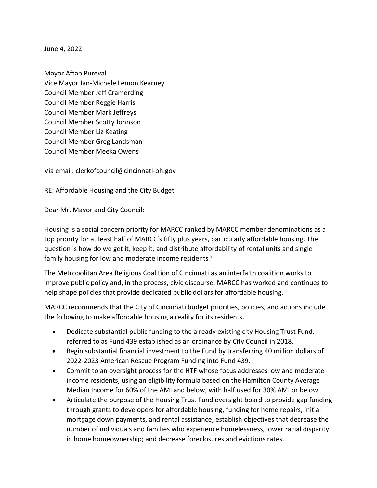June 4, 2022

Mayor Aftab Pureval Vice Mayor Jan-Michele Lemon Kearney Council Member Jeff Cramerding Council Member Reggie Harris Council Member Mark Jeffreys Council Member Scotty Johnson Council Member Liz Keating Council Member Greg Landsman Council Member Meeka Owens

Via email: [clerkofcouncil@cincinnati-oh.gov](mailto:clerkofcouncil@cincinnati-oh.gov)

RE: Affordable Housing and the City Budget

Dear Mr. Mayor and City Council:

Housing is a social concern priority for MARCC ranked by MARCC member denominations as a top priority for at least half of MARCC's fifty plus years, particularly affordable housing. The question is how do we get it, keep it, and distribute affordability of rental units and single family housing for low and moderate income residents?

The Metropolitan Area Religious Coalition of Cincinnati as an interfaith coalition works to improve public policy and, in the process, civic discourse. MARCC has worked and continues to help shape policies that provide dedicated public dollars for affordable housing.

MARCC recommends that the City of Cincinnati budget priorities, policies, and actions include the following to make affordable housing a reality for its residents.

- Dedicate substantial public funding to the already existing city Housing Trust Fund, referred to as Fund 439 established as an ordinance by City Council in 2018.
- Begin substantial financial investment to the Fund by transferring 40 million dollars of 2022-2023 American Rescue Program Funding into Fund 439.
- Commit to an oversight process for the HTF whose focus addresses low and moderate income residents, using an eligibility formula based on the Hamilton County Average Median Income for 60% of the AMI and below, with half used for 30% AMI or below.
- Articulate the purpose of the Housing Trust Fund oversight board to provide gap funding through grants to developers for affordable housing, funding for home repairs, initial mortgage down payments, and rental assistance, establish objectives that decrease the number of individuals and families who experience homelessness, lower racial disparity in home homeownership; and decrease foreclosures and evictions rates.